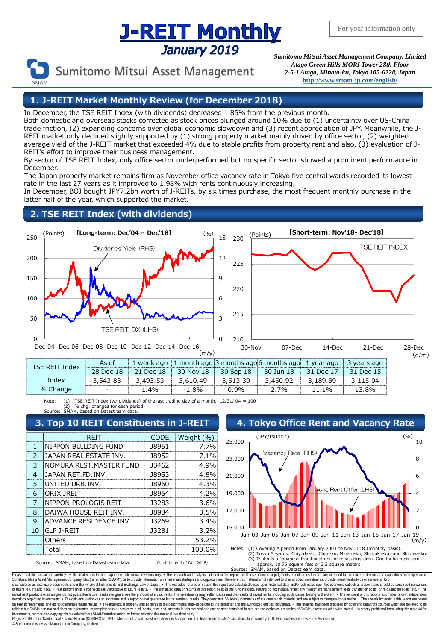# **Supering The Superior Monthly**<br>*Sumitomo Mitsui Asset Management Company, Limited*



Sumitomo Mitsui Asset Management

*Atago Green Hills MORI Tower 28th Floor 2-5-1 Atago, Minato-ku, Tokyo 105-6228, Japan* **<http://www.smam-jp.com/english/>**

### **1. J-REIT Market Monthly Review (for December 2018)**

In December, the TSE REIT Index (with dividends) decreased 1.85% from the previous month.

Both domestic and overseas stocks corrected as stock prices plunged around 10% due to (1) uncertainty over US-China trade friction, (2) expanding concerns over global economic slowdown and (3) recent appreciation of JPY. Meanwhile, the J-REIT market only declined slightly supported by (1) strong property market mainly driven by office sector, (2) weighted average yield of the J-REIT market that exceeded 4% due to stable profits from property rent and also, (3) evaluation of J-REIT's effort to improve their business management.

By sector of TSE REIT Index, only office sector underperformed but no specific sector showed a prominent performance in December.

The Japan property market remains firm as November office vacancy rate in Tokyo five central wards recorded its lowest rate in the last 27 years as it improved to 1.98% with rents continuously increasing.

In December, BOJ bought JPY7.2bn worth of J-REITs, by six times purchase, the most frequent monthly purchase in the latter half of the year, which supported the market.

## **2. TSE REIT Index (with dividends)**



|                 |                          | week ago |                          |     | month ago 3 months ago 6 months ago. | vear ago | vears ago |
|-----------------|--------------------------|----------|--------------------------|-----|--------------------------------------|----------|-----------|
|                 | 28<br>$P^{\alpha}$       | L8       |                          | -18 | 30                                   | ∩۱۵      |           |
| maex            |                          |          |                          | 30  |                                      |          |           |
| $\sqrt{\sigma}$ | $\overline{\phantom{0}}$ | 4%       | $\overline{\phantom{0}}$ | 9%  | 70⁄∩                                 |          | 8%        |

Note: (1) TSE REIT Index (w/ dividends) of the last trading day of a month. 12/31/'04 = 100<br>(2) % chair canness for each period.<br>Source: SMAM hased on Datastream data (2) % chg: changes for each period.<br>IAM hased on Datastream data. ,<br>ed on Datastream data

|               | <b>REIT</b>                   | <b>CODE</b> | Weight (%) |  |  |  |  |
|---------------|-------------------------------|-------------|------------|--|--|--|--|
| 1             | NIPPON BUILDING FUND          | 18951       | 7.7%       |  |  |  |  |
| $\mathcal{P}$ | <b>JAPAN REAL ESTATE INV.</b> | 18952       | $7.1\%$    |  |  |  |  |
| 3             | INOMURA RLST.MASTER FUND      | 13462       | 4.9%       |  |  |  |  |
| 4             | JAPAN RET.FD.INV.             | 18953       | 4.8%       |  |  |  |  |
| 5             | IUNITED URB.INV.              | 18960       | 4.3%       |  |  |  |  |
| 6             | IORIX IRFIT                   | 18954       | 4.2%       |  |  |  |  |
| 7             | NIPPON PROLOGIS REIT          | 13283       | 3.6%       |  |  |  |  |
| 8             | DAIWA HOUSE REIT INV.         | 18984       | 3.5%       |  |  |  |  |
| 9             | <b>ADVANCE RESIDENCE INV.</b> | 13269       | 3.4%       |  |  |  |  |
| 10            | IGLP J-REIT                   | 13281       | 3.2%       |  |  |  |  |
|               | Others                        |             | 53.2%      |  |  |  |  |
|               | Total                         |             | 100.0%     |  |  |  |  |



Source: SMAM, based on Datastream data. (As of the end of Dec 2018)

approx. 10.76 square feet or 3.3 square meters

Source: SMAM, based on Datastream data.<br>Please read this disclaimer carefully. • This material is for non-Japanese institutional investors only. • The research and analysis included in that should in this epond. and those e considered as disclosure documents under the Financial Instruments and Exchange Law of Japan. • The expected returns or risks in this report are calculated based upon historical data and/or estimated upon the economic ou decisions regarding investments. • The opinions, outlooks and estimates in this report do not guarantee fulure trends or results. They constitute SMAM's judgment as of the fate of this material and are subject to change wi investments, reproducing/copying this material without SMAM/s authorization, or from disclosing this material to a third party.<br>Registered Number: Kanto Local Finance Bureau (KINSHO) No.399 Member of Japan Investment Auste © SumitomoMitsui Asset Management Company, Limited